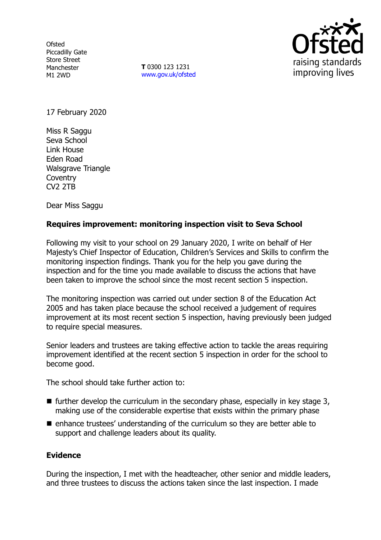**Ofsted** Piccadilly Gate Store Street Manchester M1 2WD

**T** 0300 123 1231 [www.gov.uk/ofsted](http://www.gov.uk/ofsted)



17 February 2020

Miss R Saggu Seva School Link House Eden Road Walsgrave Triangle **Coventry** CV2 2TB

Dear Miss Saggu

# **Requires improvement: monitoring inspection visit to Seva School**

Following my visit to your school on 29 January 2020, I write on behalf of Her Majesty's Chief Inspector of Education, Children's Services and Skills to confirm the monitoring inspection findings. Thank you for the help you gave during the inspection and for the time you made available to discuss the actions that have been taken to improve the school since the most recent section 5 inspection.

The monitoring inspection was carried out under section 8 of the Education Act 2005 and has taken place because the school received a judgement of requires improvement at its most recent section 5 inspection, having previously been judged to require special measures.

Senior leaders and trustees are taking effective action to tackle the areas requiring improvement identified at the recent section 5 inspection in order for the school to become good.

The school should take further action to:

- $\blacksquare$  further develop the curriculum in the secondary phase, especially in key stage 3, making use of the considerable expertise that exists within the primary phase
- enhance trustees' understanding of the curriculum so they are better able to support and challenge leaders about its quality.

### **Evidence**

During the inspection, I met with the headteacher, other senior and middle leaders, and three trustees to discuss the actions taken since the last inspection. I made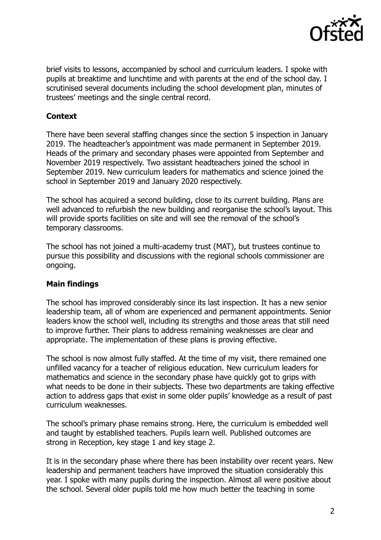

brief visits to lessons, accompanied by school and curriculum leaders. I spoke with pupils at breaktime and lunchtime and with parents at the end of the school day. I scrutinised several documents including the school development plan, minutes of trustees' meetings and the single central record.

# **Context**

There have been several staffing changes since the section 5 inspection in January 2019. The headteacher's appointment was made permanent in September 2019. Heads of the primary and secondary phases were appointed from September and November 2019 respectively. Two assistant headteachers joined the school in September 2019. New curriculum leaders for mathematics and science joined the school in September 2019 and January 2020 respectively.

The school has acquired a second building, close to its current building. Plans are well advanced to refurbish the new building and reorganise the school's layout. This will provide sports facilities on site and will see the removal of the school's temporary classrooms.

The school has not joined a multi-academy trust (MAT), but trustees continue to pursue this possibility and discussions with the regional schools commissioner are ongoing.

# **Main findings**

The school has improved considerably since its last inspection. It has a new senior leadership team, all of whom are experienced and permanent appointments. Senior leaders know the school well, including its strengths and those areas that still need to improve further. Their plans to address remaining weaknesses are clear and appropriate. The implementation of these plans is proving effective.

The school is now almost fully staffed. At the time of my visit, there remained one unfilled vacancy for a teacher of religious education. New curriculum leaders for mathematics and science in the secondary phase have quickly got to grips with what needs to be done in their subjects. These two departments are taking effective action to address gaps that exist in some older pupils' knowledge as a result of past curriculum weaknesses.

The school's primary phase remains strong. Here, the curriculum is embedded well and taught by established teachers. Pupils learn well. Published outcomes are strong in Reception, key stage 1 and key stage 2.

It is in the secondary phase where there has been instability over recent years. New leadership and permanent teachers have improved the situation considerably this year. I spoke with many pupils during the inspection. Almost all were positive about the school. Several older pupils told me how much better the teaching in some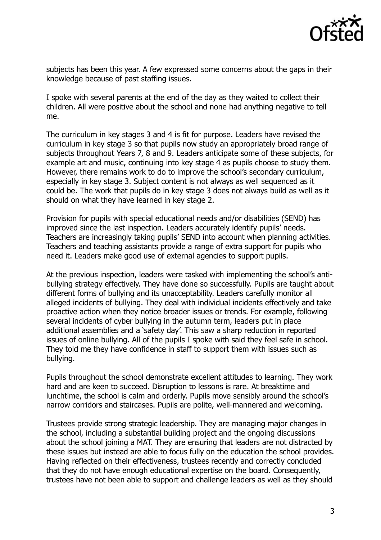

subjects has been this year. A few expressed some concerns about the gaps in their knowledge because of past staffing issues.

I spoke with several parents at the end of the day as they waited to collect their children. All were positive about the school and none had anything negative to tell me.

The curriculum in key stages 3 and 4 is fit for purpose. Leaders have revised the curriculum in key stage 3 so that pupils now study an appropriately broad range of subjects throughout Years 7, 8 and 9. Leaders anticipate some of these subjects, for example art and music, continuing into key stage 4 as pupils choose to study them. However, there remains work to do to improve the school's secondary curriculum, especially in key stage 3. Subject content is not always as well sequenced as it could be. The work that pupils do in key stage 3 does not always build as well as it should on what they have learned in key stage 2.

Provision for pupils with special educational needs and/or disabilities (SEND) has improved since the last inspection. Leaders accurately identify pupils' needs. Teachers are increasingly taking pupils' SEND into account when planning activities. Teachers and teaching assistants provide a range of extra support for pupils who need it. Leaders make good use of external agencies to support pupils.

At the previous inspection, leaders were tasked with implementing the school's antibullying strategy effectively. They have done so successfully. Pupils are taught about different forms of bullying and its unacceptability. Leaders carefully monitor all alleged incidents of bullying. They deal with individual incidents effectively and take proactive action when they notice broader issues or trends. For example, following several incidents of cyber bullying in the autumn term, leaders put in place additional assemblies and a 'safety day'. This saw a sharp reduction in reported issues of online bullying. All of the pupils I spoke with said they feel safe in school. They told me they have confidence in staff to support them with issues such as bullying.

Pupils throughout the school demonstrate excellent attitudes to learning. They work hard and are keen to succeed. Disruption to lessons is rare. At breaktime and lunchtime, the school is calm and orderly. Pupils move sensibly around the school's narrow corridors and staircases. Pupils are polite, well-mannered and welcoming.

Trustees provide strong strategic leadership. They are managing major changes in the school, including a substantial building project and the ongoing discussions about the school joining a MAT. They are ensuring that leaders are not distracted by these issues but instead are able to focus fully on the education the school provides. Having reflected on their effectiveness, trustees recently and correctly concluded that they do not have enough educational expertise on the board. Consequently, trustees have not been able to support and challenge leaders as well as they should